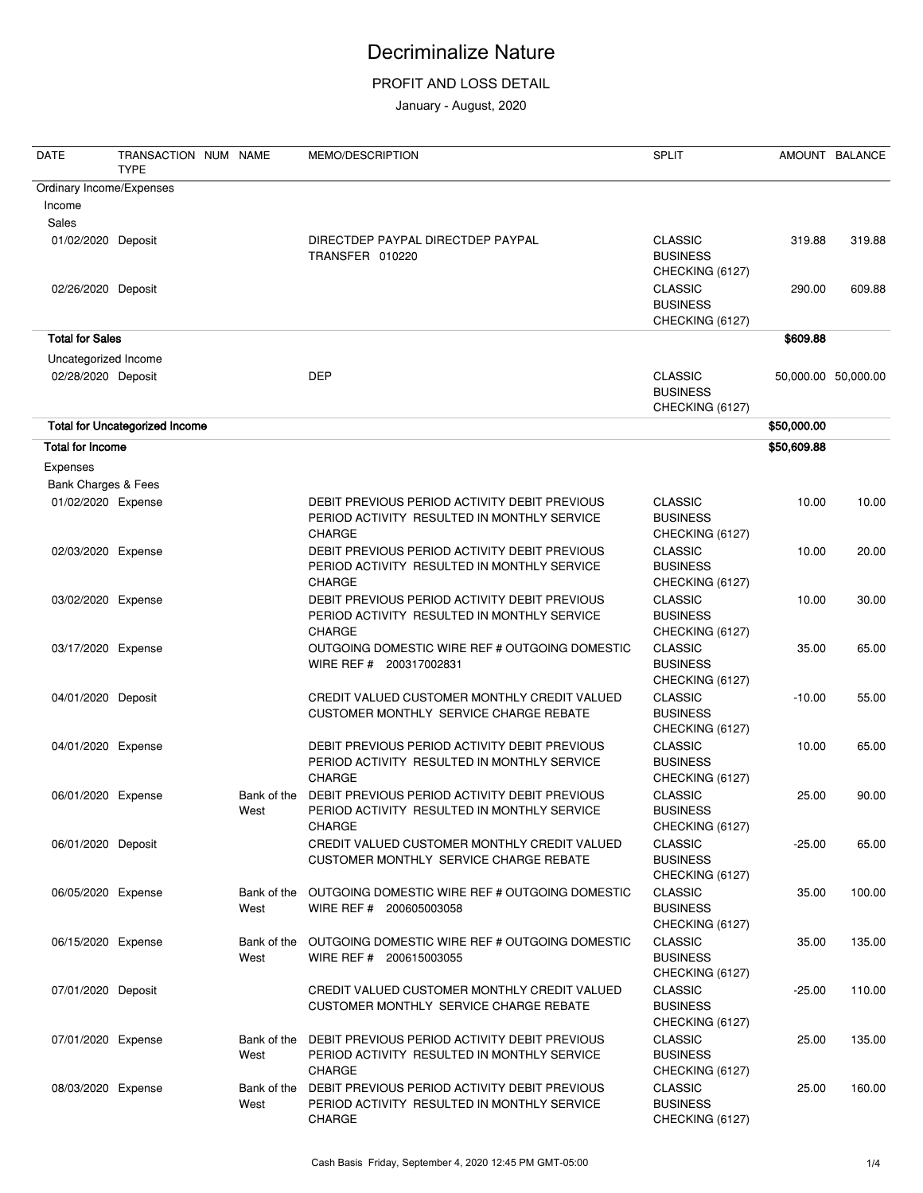### PROFIT AND LOSS DETAIL

January - August, 2020

| <b>DATE</b>              | TRANSACTION NUM NAME<br><b>TYPE</b>   |                     | MEMO/DESCRIPTION                                                                                              | <b>SPLIT</b>                                         |                     | AMOUNT BALANCE |
|--------------------------|---------------------------------------|---------------------|---------------------------------------------------------------------------------------------------------------|------------------------------------------------------|---------------------|----------------|
| Ordinary Income/Expenses |                                       |                     |                                                                                                               |                                                      |                     |                |
| Income                   |                                       |                     |                                                                                                               |                                                      |                     |                |
| <b>Sales</b>             |                                       |                     |                                                                                                               |                                                      |                     |                |
| 01/02/2020 Deposit       |                                       |                     | DIRECTDEP PAYPAL DIRECTDEP PAYPAL<br>TRANSFER 010220                                                          | <b>CLASSIC</b><br><b>BUSINESS</b><br>CHECKING (6127) | 319.88              | 319.88         |
| 02/26/2020 Deposit       |                                       |                     |                                                                                                               | <b>CLASSIC</b><br><b>BUSINESS</b><br>CHECKING (6127) | 290.00              | 609.88         |
| <b>Total for Sales</b>   |                                       |                     |                                                                                                               |                                                      | \$609.88            |                |
| Uncategorized Income     |                                       |                     |                                                                                                               |                                                      |                     |                |
| 02/28/2020 Deposit       |                                       |                     | <b>DEP</b>                                                                                                    | <b>CLASSIC</b><br><b>BUSINESS</b><br>CHECKING (6127) | 50,000.00 50,000.00 |                |
|                          | <b>Total for Uncategorized Income</b> |                     |                                                                                                               |                                                      | \$50,000.00         |                |
| <b>Total for Income</b>  |                                       |                     |                                                                                                               |                                                      | \$50,609.88         |                |
| Expenses                 |                                       |                     |                                                                                                               |                                                      |                     |                |
| Bank Charges & Fees      |                                       |                     |                                                                                                               |                                                      |                     |                |
| 01/02/2020 Expense       |                                       |                     | DEBIT PREVIOUS PERIOD ACTIVITY DEBIT PREVIOUS<br>PERIOD ACTIVITY RESULTED IN MONTHLY SERVICE<br><b>CHARGE</b> | <b>CLASSIC</b><br><b>BUSINESS</b><br>CHECKING (6127) | 10.00               | 10.00          |
| 02/03/2020 Expense       |                                       |                     | DEBIT PREVIOUS PERIOD ACTIVITY DEBIT PREVIOUS<br>PERIOD ACTIVITY RESULTED IN MONTHLY SERVICE<br><b>CHARGE</b> | <b>CLASSIC</b><br><b>BUSINESS</b><br>CHECKING (6127) | 10.00               | 20.00          |
| 03/02/2020 Expense       |                                       |                     | DEBIT PREVIOUS PERIOD ACTIVITY DEBIT PREVIOUS<br>PERIOD ACTIVITY RESULTED IN MONTHLY SERVICE<br><b>CHARGE</b> | <b>CLASSIC</b><br><b>BUSINESS</b><br>CHECKING (6127) | 10.00               | 30.00          |
| 03/17/2020 Expense       |                                       |                     | OUTGOING DOMESTIC WIRE REF # OUTGOING DOMESTIC<br>WIRE REF # 200317002831                                     | <b>CLASSIC</b><br><b>BUSINESS</b><br>CHECKING (6127) | 35.00               | 65.00          |
| 04/01/2020 Deposit       |                                       |                     | CREDIT VALUED CUSTOMER MONTHLY CREDIT VALUED<br>CUSTOMER MONTHLY SERVICE CHARGE REBATE                        | <b>CLASSIC</b><br><b>BUSINESS</b><br>CHECKING (6127) | $-10.00$            | 55.00          |
| 04/01/2020 Expense       |                                       |                     | DEBIT PREVIOUS PERIOD ACTIVITY DEBIT PREVIOUS<br>PERIOD ACTIVITY RESULTED IN MONTHLY SERVICE<br><b>CHARGE</b> | <b>CLASSIC</b><br><b>BUSINESS</b><br>CHECKING (6127) | 10.00               | 65.00          |
| 06/01/2020 Expense       |                                       | Bank of the<br>West | DEBIT PREVIOUS PERIOD ACTIVITY DEBIT PREVIOUS<br>PERIOD ACTIVITY RESULTED IN MONTHLY SERVICE<br><b>CHARGE</b> | <b>CLASSIC</b><br><b>BUSINESS</b><br>CHECKING (6127) | 25.00               | 90.00          |
| 06/01/2020 Deposit       |                                       |                     | CREDIT VALUED CUSTOMER MONTHLY CREDIT VALUED<br>CUSTOMER MONTHLY SERVICE CHARGE REBATE                        | <b>CLASSIC</b><br><b>BUSINESS</b><br>CHECKING (6127) | $-25.00$            | 65.00          |
| 06/05/2020 Expense       |                                       | Bank of the<br>West | OUTGOING DOMESTIC WIRE REF # OUTGOING DOMESTIC<br>WIRE REF # 200605003058                                     | <b>CLASSIC</b><br><b>BUSINESS</b><br>CHECKING (6127) | 35.00               | 100.00         |
| 06/15/2020 Expense       |                                       | Bank of the<br>West | OUTGOING DOMESTIC WIRE REF # OUTGOING DOMESTIC<br>WIRE REF # 200615003055                                     | <b>CLASSIC</b><br><b>BUSINESS</b><br>CHECKING (6127) | 35.00               | 135.00         |
| 07/01/2020 Deposit       |                                       |                     | CREDIT VALUED CUSTOMER MONTHLY CREDIT VALUED<br>CUSTOMER MONTHLY SERVICE CHARGE REBATE                        | <b>CLASSIC</b><br><b>BUSINESS</b><br>CHECKING (6127) | $-25.00$            | 110.00         |
| 07/01/2020 Expense       |                                       | Bank of the<br>West | DEBIT PREVIOUS PERIOD ACTIVITY DEBIT PREVIOUS<br>PERIOD ACTIVITY RESULTED IN MONTHLY SERVICE<br><b>CHARGE</b> | <b>CLASSIC</b><br><b>BUSINESS</b><br>CHECKING (6127) | 25.00               | 135.00         |
| 08/03/2020 Expense       |                                       | Bank of the<br>West | DEBIT PREVIOUS PERIOD ACTIVITY DEBIT PREVIOUS<br>PERIOD ACTIVITY RESULTED IN MONTHLY SERVICE<br>CHARGE        | <b>CLASSIC</b><br><b>BUSINESS</b><br>CHECKING (6127) | 25.00               | 160.00         |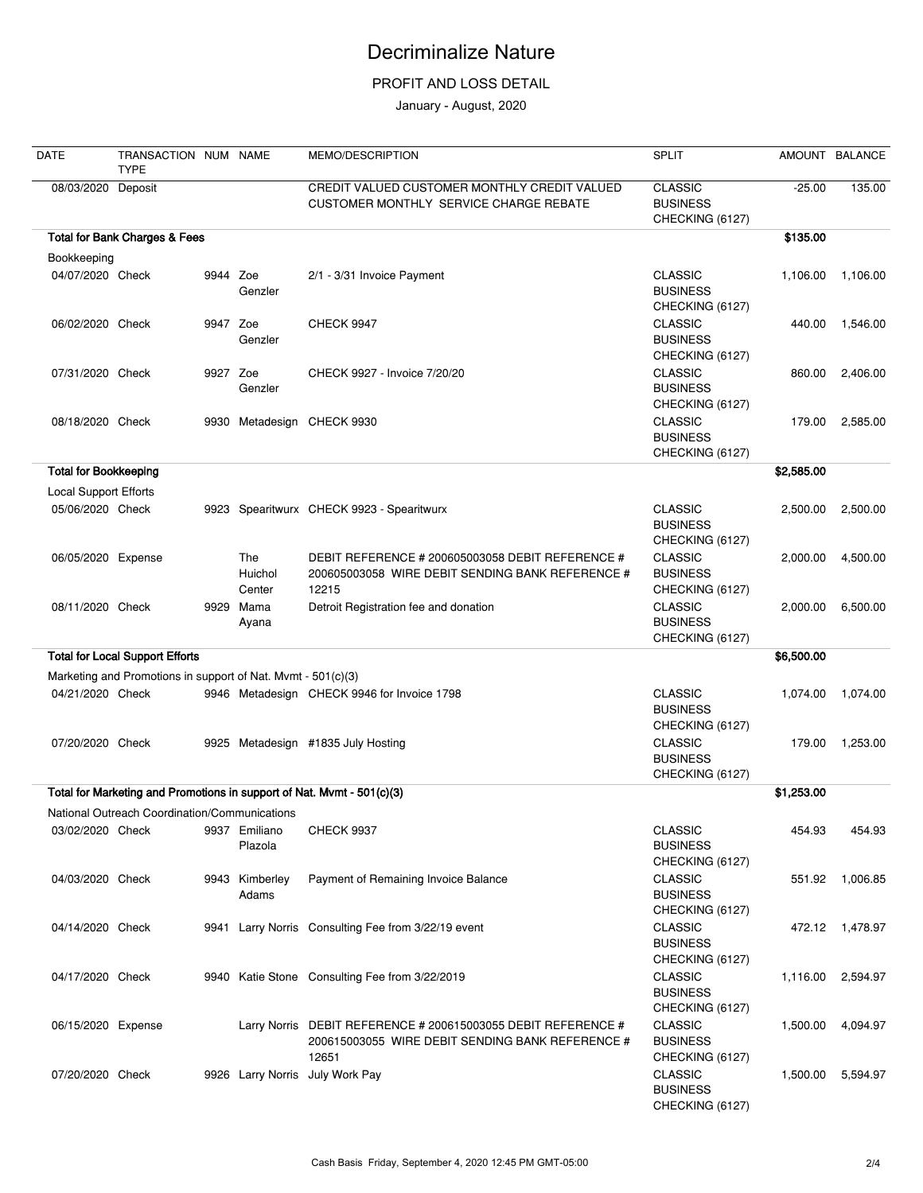### PROFIT AND LOSS DETAIL

January - August, 2020

| <b>DATE</b>                  | TRANSACTION NUM NAME<br><b>TYPE</b>                          |          |                          | MEMO/DESCRIPTION                                                                                                           | <b>SPLIT</b>                                         |            | AMOUNT BALANCE |
|------------------------------|--------------------------------------------------------------|----------|--------------------------|----------------------------------------------------------------------------------------------------------------------------|------------------------------------------------------|------------|----------------|
| 08/03/2020                   | Deposit                                                      |          |                          | CREDIT VALUED CUSTOMER MONTHLY CREDIT VALUED<br>CUSTOMER MONTHLY SERVICE CHARGE REBATE                                     | <b>CLASSIC</b><br><b>BUSINESS</b><br>CHECKING (6127) | $-25.00$   | 135.00         |
|                              | <b>Total for Bank Charges &amp; Fees</b>                     |          |                          |                                                                                                                            |                                                      | \$135.00   |                |
| Bookkeeping                  |                                                              |          |                          |                                                                                                                            |                                                      |            |                |
| 04/07/2020 Check             |                                                              | 9944 Zoe | Genzler                  | 2/1 - 3/31 Invoice Payment                                                                                                 | <b>CLASSIC</b><br><b>BUSINESS</b><br>CHECKING (6127) | 1.106.00   | 1,106.00       |
| 06/02/2020 Check             |                                                              | 9947 Zoe | Genzler                  | <b>CHECK 9947</b>                                                                                                          | <b>CLASSIC</b><br><b>BUSINESS</b><br>CHECKING (6127) | 440.00     | 1,546.00       |
| 07/31/2020 Check             |                                                              | 9927 Zoe | Genzler                  | CHECK 9927 - Invoice 7/20/20                                                                                               | <b>CLASSIC</b><br><b>BUSINESS</b><br>CHECKING (6127) | 860.00     | 2,406.00       |
| 08/18/2020 Check             |                                                              |          |                          | 9930 Metadesign CHECK 9930                                                                                                 | <b>CLASSIC</b><br><b>BUSINESS</b><br>CHECKING (6127) | 179.00     | 2,585.00       |
| <b>Total for Bookkeeping</b> |                                                              |          |                          |                                                                                                                            |                                                      | \$2,585.00 |                |
| Local Support Efforts        |                                                              |          |                          |                                                                                                                            |                                                      |            |                |
| 05/06/2020 Check             |                                                              |          |                          | 9923 Spearitwurx CHECK 9923 - Spearitwurx                                                                                  | <b>CLASSIC</b><br><b>BUSINESS</b><br>CHECKING (6127) | 2,500.00   | 2,500.00       |
| 06/05/2020 Expense           |                                                              |          | The<br>Huichol<br>Center | DEBIT REFERENCE # 200605003058 DEBIT REFERENCE #<br>200605003058 WIRE DEBIT SENDING BANK REFERENCE #<br>12215              | <b>CLASSIC</b><br><b>BUSINESS</b><br>CHECKING (6127) | 2,000.00   | 4,500.00       |
| 08/11/2020 Check             |                                                              | 9929     | Mama<br>Ayana            | Detroit Registration fee and donation                                                                                      | <b>CLASSIC</b><br><b>BUSINESS</b><br>CHECKING (6127) | 2,000.00   | 6,500.00       |
|                              | <b>Total for Local Support Efforts</b>                       |          |                          |                                                                                                                            |                                                      | \$6,500.00 |                |
|                              | Marketing and Promotions in support of Nat. Mvmt - 501(c)(3) |          |                          |                                                                                                                            |                                                      |            |                |
| 04/21/2020 Check             |                                                              |          |                          | 9946 Metadesign CHECK 9946 for Invoice 1798                                                                                | <b>CLASSIC</b><br><b>BUSINESS</b><br>CHECKING (6127) | 1,074.00   | 1,074.00       |
| 07/20/2020 Check             |                                                              |          |                          | 9925 Metadesign #1835 July Hosting                                                                                         | <b>CLASSIC</b><br><b>BUSINESS</b><br>CHECKING (6127) | 179.00     | 1,253.00       |
|                              |                                                              |          |                          | Total for Marketing and Promotions in support of Nat. Mvmt - 501(c)(3)                                                     |                                                      | \$1,253.00 |                |
|                              | National Outreach Coordination/Communications                |          |                          |                                                                                                                            |                                                      |            |                |
| 03/02/2020 Check             |                                                              |          | 9937 Emiliano<br>Plazola | <b>CHECK 9937</b>                                                                                                          | <b>CLASSIC</b><br><b>BUSINESS</b><br>CHECKING (6127) | 454.93     | 454.93         |
| 04/03/2020 Check             |                                                              |          | 9943 Kimberley<br>Adams  | Payment of Remaining Invoice Balance                                                                                       | <b>CLASSIC</b><br><b>BUSINESS</b><br>CHECKING (6127) | 551.92     | 1,006.85       |
| 04/14/2020 Check             |                                                              |          |                          | 9941 Larry Norris Consulting Fee from 3/22/19 event                                                                        | <b>CLASSIC</b><br><b>BUSINESS</b><br>CHECKING (6127) | 472.12     | 1,478.97       |
| 04/17/2020 Check             |                                                              |          |                          | 9940 Katie Stone Consulting Fee from 3/22/2019                                                                             | <b>CLASSIC</b><br><b>BUSINESS</b><br>CHECKING (6127) | 1,116.00   | 2,594.97       |
| 06/15/2020 Expense           |                                                              |          |                          | Larry Norris DEBIT REFERENCE # 200615003055 DEBIT REFERENCE #<br>200615003055 WIRE DEBIT SENDING BANK REFERENCE #<br>12651 | <b>CLASSIC</b><br><b>BUSINESS</b><br>CHECKING (6127) | 1,500.00   | 4,094.97       |
| 07/20/2020 Check             |                                                              |          |                          | 9926 Larry Norris July Work Pay                                                                                            | <b>CLASSIC</b><br><b>BUSINESS</b><br>CHECKING (6127) | 1,500.00   | 5,594.97       |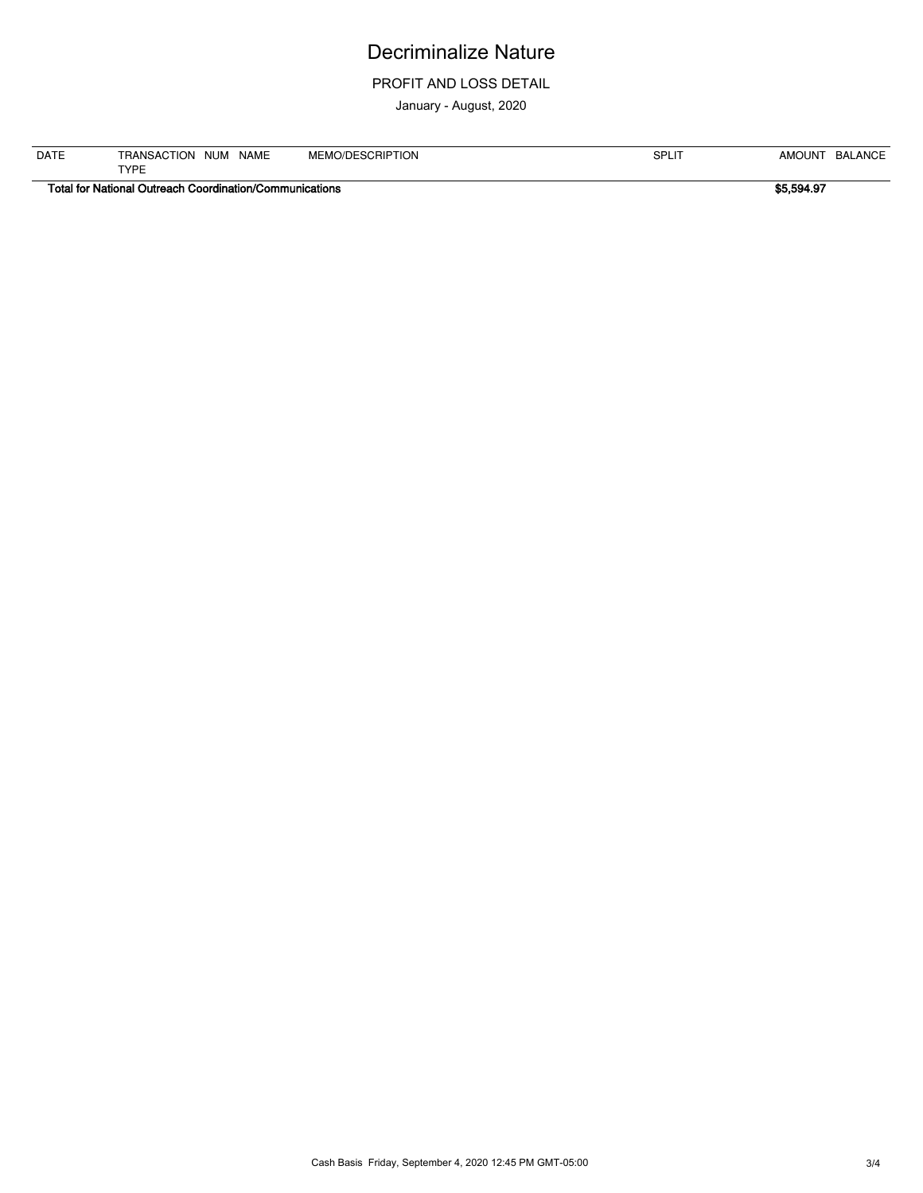#### PROFIT AND LOSS DETAIL

January - August, 2020

| <b>DATE</b> | <b>NAME</b><br><b>NUM</b><br><b>ION</b><br><b>RANSAC</b><br>∼ | <b>SCRIPTION</b><br><b>MEMO/DI</b><br>טכבו | <b>SPLI</b> | <b>AMC</b><br>.OUN' | <b>ANCE</b><br>BAL |
|-------------|---------------------------------------------------------------|--------------------------------------------|-------------|---------------------|--------------------|
|             | TVDE<br>--                                                    |                                            |             |                     |                    |

**Total for National Outreach Coordination/Communications \$5,594.97**